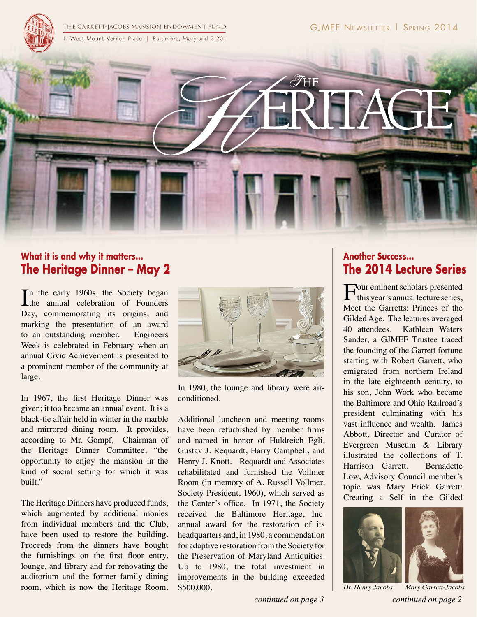THE GARRETT-JACOBS MANSION ENDOWMENT FUND 11 West Mount Vernon Place | Baltimore, Maryland 21201



### **What it is and why it matters... The Heritage Dinner – May 2**

In the early 1960s, the Society began<br>the annual celebration of Founders **L**the annual celebration of Founders Day, commemorating its origins, and marking the presentation of an award to an outstanding member. Engineers Week is celebrated in February when an annual Civic Achievement is presented to a prominent member of the community at large.

In 1967, the first Heritage Dinner was given; it too became an annual event. It is a black-tie affair held in winter in the marble and mirrored dining room. It provides, according to Mr. Gompf, Chairman of the Heritage Dinner Committee, "the opportunity to enjoy the mansion in the kind of social setting for which it was built."

The Heritage Dinners have produced funds, which augmented by additional monies from individual members and the Club, have been used to restore the building. Proceeds from the dinners have bought the furnishings on the first floor entry, lounge, and library and for renovating the auditorium and the former family dining room, which is now the Heritage Room.



In 1980, the lounge and library were airconditioned.

Additional luncheon and meeting rooms have been refurbished by member firms and named in honor of Huldreich Egli, Gustav J. Requardt, Harry Campbell, and Henry J. Knott. Requardt and Associates rehabilitated and furnished the Vollmer Room (in memory of A. Russell Vollmer, Society President, 1960), which served as the Center's office. In 1971, the Society received the Baltimore Heritage, Inc. annual award for the restoration of its headquarters and, in 1980, a commendation for adaptive restoration from the Society for the Preservation of Maryland Antiquities. Up to 1980, the total investment in improvements in the building exceeded \$500,000.

### **Another Success... The 2014 Lecture Series**

Four eminent scholars presented<br>this year's annual lecture series, Meet the Garretts: Princes of the Gilded Age. The lectures averaged 40 attendees. Kathleen Waters Sander, a GJMEF Trustee traced the founding of the Garrett fortune starting with Robert Garrett, who emigrated from northern Ireland in the late eighteenth century, to his son, John Work who became the Baltimore and Ohio Railroad's president culminating with his vast influence and wealth. James Abbott, Director and Curator of Evergreen Museum & Library illustrated the collections of T. Harrison Garrett. Bernadette Low, Advisory Council member's topic was Mary Frick Garrett: Creating a Self in the Gilded



*continued on page 3 continued on page 2 Dr. Henry Jacobs Mary Garrett-Jacobs*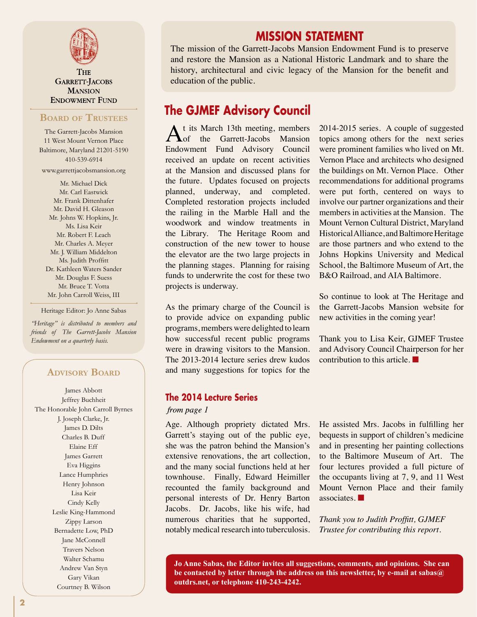

**THE GARRETT-JACOBS MANSION ENDOWMENT FUND** 

#### **Board of Trustees**

The Garrett-Jacobs Mansion 11 West Mount Vernon Place Baltimore, Maryland 21201-5190 410-539-6914 www.garrettjacobsmansion.org

Mr. Michael Dick Mr. Carl Eastwick Mr. Frank Dittenhafer Mr. David H. Gleason Mr. Johns W. Hopkins, Jr. Ms. Lisa Keir Mr. Robert F. Leach Mr. Charles A. Meyer Mr. J. William Middelton Ms. Judith Proffitt Dr. Kathleen Waters Sander Mr. Douglas F. Suess Mr. Bruce T. Votta Mr. John Carroll Weiss, III

Heritage Editor: Jo Anne Sabas

*"Heritage" is distributed to members and friends of The Garrett-Jacobs Mansion Endowment on a quarterly basis.*

#### **Advisory Board**

James Abbott Jeffrey Buchheit The Honorable John Carroll Byrnes J. Joseph Clarke, Jr. James D. Dilts Charles B. Duff Elaine Eff James Garrett Eva Higgins Lance Humphries Henry Johnson Lisa Keir Cindy Kelly Leslie King-Hammond Zippy Larson Bernadette Low, PhD Jane McConnell Travers Nelson Walter Schamu Andrew Van Styn Gary Vikan Courtney B. Wilson

### **MISSION STATEMENT**

The mission of the Garrett-Jacobs Mansion Endowment Fund is to preserve and restore the Mansion as a National Historic Landmark and to share the history, architectural and civic legacy of the Mansion for the benefit and education of the public.

## **The GJMEF Advisory Council**

At its March 13th meeting, members<br>
of the Garrett-Jacobs Mansion Endowment Fund Advisory Council received an update on recent activities at the Mansion and discussed plans for the future. Updates focused on projects planned, underway, and completed. Completed restoration projects included the railing in the Marble Hall and the woodwork and window treatments in the Library. The Heritage Room and construction of the new tower to house the elevator are the two large projects in the planning stages. Planning for raising funds to underwrite the cost for these two projects is underway.

As the primary charge of the Council is to provide advice on expanding public programs, members were delighted to learn how successful recent public programs were in drawing visitors to the Mansion. The 2013-2014 lecture series drew kudos and many suggestions for topics for the

#### **The 2014 Lecture Series**

#### from page 1

Age. Although propriety dictated Mrs. Garrett's staying out of the public eye, she was the patron behind the Mansion's extensive renovations, the art collection, and the many social functions held at her townhouse. Finally, Edward Heimiller recounted the family background and personal interests of Dr. Henry Barton Jacobs. Dr. Jacobs, like his wife, had numerous charities that he supported, notably medical research into tuberculosis.

2014-2015 series. A couple of suggested topics among others for the next series were prominent families who lived on Mt. Vernon Place and architects who designed the buildings on Mt. Vernon Place. Other recommendations for additional programs were put forth, centered on ways to involve our partner organizations and their members in activities at the Mansion. The Mount Vernon Cultural District, Maryland Historical Alliance, and Baltimore Heritage are those partners and who extend to the Johns Hopkins University and Medical School, the Baltimore Museum of Art, the B&O Railroad, and AIA Baltimore.

So continue to look at The Heritage and the Garrett-Jacobs Mansion website for new activities in the coming year!

Thank you to Lisa Keir, GJMEF Trustee and Advisory Council Chairperson for her contribution to this article. ■

He assisted Mrs. Jacobs in fulfilling her bequests in support of children's medicine and in presenting her painting collections to the Baltimore Museum of Art. The four lectures provided a full picture of the occupants living at 7, 9, and 11 West Mount Vernon Place and their family associates. ■

*Thank you to Judith Proffitt, GJMEF Trustee for contributing this report.*

**Jo Anne Sabas, the Editor invites all suggestions, comments, and opinions. She can be contacted by letter through the address on this newsletter, by e-mail at sabas@ outdrs.net, or telephone 410-243-4242.**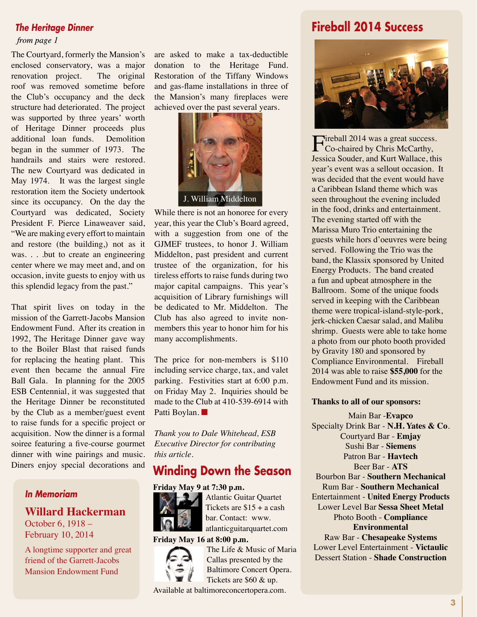#### *The Heritage Dinner*

#### from page 1

The Courtyard, formerly the Mansion's enclosed conservatory, was a major renovation project. The original roof was removed sometime before the Club's occupancy and the deck structure had deteriorated. The project was supported by three years' worth of Heritage Dinner proceeds plus additional loan funds. Demolition began in the summer of 1973. The handrails and stairs were restored. The new Courtyard was dedicated in May 1974. It was the largest single restoration item the Society undertook since its occupancy. On the day the Courtyard was dedicated, Society President F. Pierce Linaweaver said, "We are making every effort to maintain and restore (the building,) not as it was. . . .but to create an engineering center where we may meet and, and on occasion, invite guests to enjoy with us this splendid legacy from the past."

That spirit lives on today in the mission of the Garrett-Jacobs Mansion Endowment Fund. After its creation in 1992, The Heritage Dinner gave way to the Boiler Blast that raised funds for replacing the heating plant. This event then became the annual Fire Ball Gala. In planning for the 2005 ESB Centennial, it was suggested that the Heritage Dinner be reconstituted by the Club as a member/guest event to raise funds for a specific project or acquisition. Now the dinner is a formal soiree featuring a five-course gourmet dinner with wine pairings and music. Diners enjoy special decorations and

### *In Memoriam*

**Willard Hackerman** October 6, 1918 – February 10, 2014

A longtime supporter and great friend of the Garrett-Jacobs Mansion Endowment Fund

are asked to make a tax-deductible donation to the Heritage Fund. Restoration of the Tiffany Windows and gas-flame installations in three of the Mansion's many fireplaces were achieved over the past several years.



While there is not an honoree for every year, this year the Club's Board agreed, with a suggestion from one of the GJMEF trustees, to honor J. William Middelton, past president and current trustee of the organization, for his tireless efforts to raise funds during two major capital campaigns. This year's acquisition of Library furnishings will be dedicated to Mr. Middelton. The Club has also agreed to invite nonmembers this year to honor him for his many accomplishments.

The price for non-members is \$110 including service charge, tax, and valet parking. Festivities start at 6:00 p.m. on Friday May 2. Inquiries should be made to the Club at 410-539-6914 with Patti Boylan.

*Thank you to Dale Whitehead, ESB Executive Director for contributing this article.*

### **Winding Down the Season**

#### **Friday May 9 at 7:30 p.m.**



Atlantic Guitar Quartet Tickets are  $$15 + a$  cash bar. Contact: www. atlanticguitarquartet.com

**Friday May 16 at 8:00 p.m.**



The Life & Music of Maria Callas presented by the Baltimore Concert Opera. Tickets are \$60 & up.

Available at baltimoreconcertopera.com.

### **Fireball 2014 Success**



Fireball 2014 was a great success.<br>
Co-chaired by Chris McCarthy, Jessica Souder, and Kurt Wallace, this year's event was a sellout occasion. It was decided that the event would have a Caribbean Island theme which was seen throughout the evening included in the food, drinks and entertainment. The evening started off with the Marissa Muro Trio entertaining the guests while hors d'oeuvres were being served. Following the Trio was the band, the Klassix sponsored by United Energy Products. The band created a fun and upbeat atmosphere in the Ballroom. Some of the unique foods served in keeping with the Caribbean theme were tropical-island-style-pork, jerk-chicken Caesar salad, and Malibu shrimp. Guests were able to take home a photo from our photo booth provided by Gravity 180 and sponsored by Compliance Environmental. Fireball 2014 was able to raise **\$55,000** for the Endowment Fund and its mission.

#### **Thanks to all of our sponsors:**

Main Bar -**Evapco** Specialty Drink Bar - **N.H. Yates & Co**. Courtyard Bar - **Emjay** Sushi Bar - **Siemens** Patron Bar - **Havtech** Beer Bar - **ATS** Bourbon Bar - **Southern Mechanical** Rum Bar - **Southern Mechanical** Entertainment - **United Energy Products** Lower Level Bar **Sessa Sheet Metal** Photo Booth - **Compliance Environmental**

Raw Bar - **Chesapeake Systems** Lower Level Entertainment - **Victaulic** Dessert Station - **Shade Construction**